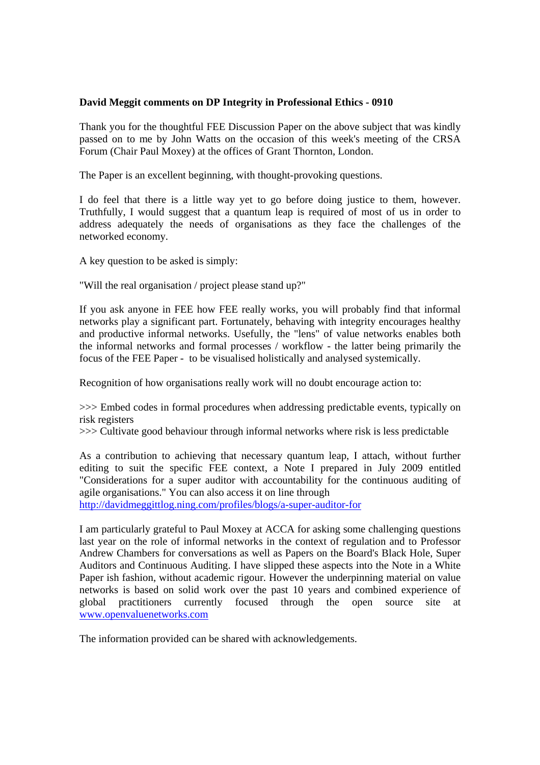## **David Meggit comments on DP Integrity in Professional Ethics - 0910**

Thank you for the thoughtful FEE Discussion Paper on the above subject that was kindly passed on to me by John Watts on the occasion of this week's meeting of the CRSA Forum (Chair Paul Moxey) at the offices of Grant Thornton, London.

The Paper is an excellent beginning, with thought-provoking questions.

I do feel that there is a little way yet to go before doing justice to them, however. Truthfully, I would suggest that a quantum leap is required of most of us in order to address adequately the needs of organisations as they face the challenges of the networked economy.

A key question to be asked is simply:

"Will the real organisation / project please stand up?"

If you ask anyone in FEE how FEE really works, you will probably find that informal networks play a significant part. Fortunately, behaving with integrity encourages healthy and productive informal networks. Usefully, the "lens" of value networks enables both the informal networks and formal processes / workflow - the latter being primarily the focus of the FEE Paper - to be visualised holistically and analysed systemically.

Recognition of how organisations really work will no doubt encourage action to:

>>> Embed codes in formal procedures when addressing predictable events, typically on risk registers

>>> Cultivate good behaviour through informal networks where risk is less predictable

As a contribution to achieving that necessary quantum leap, I attach, without further editing to suit the specific FEE context, a Note I prepared in July 2009 entitled "Considerations for a super auditor with accountability for the continuous auditing of agile organisations." You can also access it on line through

http://davidmeggittlog.ning.com/profiles/blogs/a-super-auditor-for

I am particularly grateful to Paul Moxey at ACCA for asking some challenging questions last year on the role of informal networks in the context of regulation and to Professor Andrew Chambers for conversations as well as Papers on the Board's Black Hole, Super Auditors and Continuous Auditing. I have slipped these aspects into the Note in a White Paper ish fashion, without academic rigour. However the underpinning material on value networks is based on solid work over the past 10 years and combined experience of global practitioners currently focused through the open source site at www.openvaluenetworks.com

The information provided can be shared with acknowledgements.